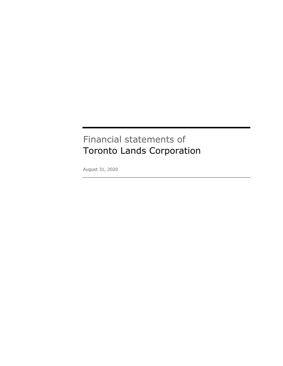# Financial statements of Toronto Lands Corporation

August 31, 2020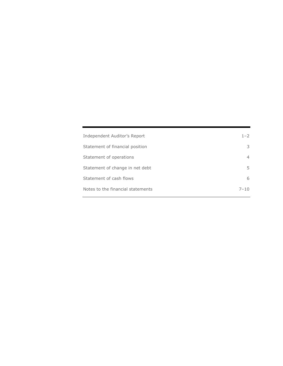| Independent Auditor's Report      | $1 - 2$        |
|-----------------------------------|----------------|
| Statement of financial position   | 3              |
| Statement of operations           | $\overline{4}$ |
| Statement of change in net debt   | 5.             |
| Statement of cash flows           | 6              |
| Notes to the financial statements | $7 - 10$       |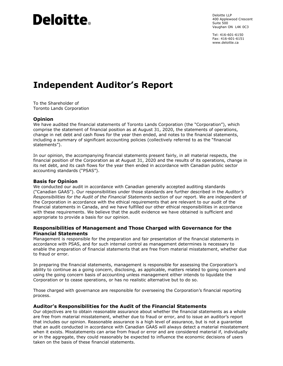# **Deloitte.**

Deloitte LLP 400 Applewood Crescent Suite 500 Vaughan ON L4K 0C3

Tel: 416-601-6150 Fax: 416-601-6151 www.deloitte.ca

# **Independent Auditor's Report**

To the Shareholder of Toronto Lands Corporation

# Opinion

We have audited the financial statements of Toronto Lands Corporation (the "Corporation"), which comprise the statement of financial position as at August 31, 2020, the statements of operations, change in net debt and cash flows for the year then ended, and notes to the financial statements, including a summary of significant accounting policies (collectively referred to as the "financial statements").

In our opinion, the accompanying financial statements present fairly, in all material respects, the financial position of the Corporation as at August 31, 2020 and the results of its operations, change in its net debt, and its cash flows for the year then ended in accordance with Canadian public sector accounting standards ("PSAS").

## Basis for Opinion

We conducted our audit in accordance with Canadian generally accepted auditing standards ("Canadian GAAS"). Our responsibilities under those standards are further described in the Auditor's Responsibilities for the Audit of the Financial Statements section of our report. We are independent of the Corporation in accordance with the ethical requirements that are relevant to our audit of the financial statements in Canada, and we have fulfilled our other ethical responsibilities in accordance with these requirements. We believe that the audit evidence we have obtained is sufficient and appropriate to provide a basis for our opinion.

# Responsibilities of Management and Those Charged with Governance for the Financial Statements

Management is responsible for the preparation and fair presentation of the financial statements in accordance with PSAS, and for such internal control as management determines is necessary to enable the preparation of financial statements that are free from material misstatement, whether due to fraud or error.

In preparing the financial statements, management is responsible for assessing the Corporation's ability to continue as a going concern, disclosing, as applicable, matters related to going concern and using the going concern basis of accounting unless management either intends to liquidate the Corporation or to cease operations, or has no realistic alternative but to do so.

Those charged with governance are responsible for overseeing the Corporation's financial reporting process.

## Auditor's Responsibilities for the Audit of the Financial Statements

Our objectives are to obtain reasonable assurance about whether the financial statements as a whole are free from material misstatement, whether due to fraud or error, and to issue an auditor's report that includes our opinion. Reasonable assurance is a high level of assurance, but is not a guarantee that an audit conducted in accordance with Canadian GAAS will always detect a material misstatement when it exists. Misstatements can arise from fraud or error and are considered material if, individually or in the aggregate, they could reasonably be expected to influence the economic decisions of users taken on the basis of these financial statements.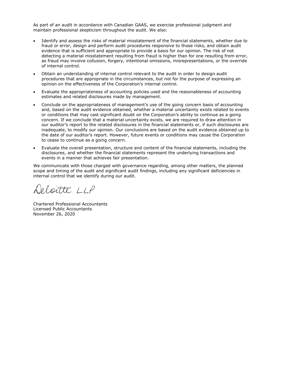As part of an audit in accordance with Canadian GAAS, we exercise professional judgment and maintain professional skepticism throughout the audit. We also:

- Identify and assess the risks of material misstatement of the financial statements, whether due to fraud or error, design and perform audit procedures responsive to those risks, and obtain audit evidence that is sufficient and appropriate to provide a basis for our opinion. The risk of not detecting a material misstatement resulting from fraud is higher than for one resulting from error, as fraud may involve collusion, forgery, intentional omissions, misrepresentations, or the override of internal control.
- Obtain an understanding of internal control relevant to the audit in order to design audit procedures that are appropriate in the circumstances, but not for the purpose of expressing an opinion on the effectiveness of the Corporation's internal control.
- Evaluate the appropriateness of accounting policies used and the reasonableness of accounting estimates and related disclosures made by management.
- Conclude on the appropriateness of management's use of the going concern basis of accounting and, based on the audit evidence obtained, whether a material uncertainty exists related to events or conditions that may cast significant doubt on the Corporation's ability to continue as a going concern. If we conclude that a material uncertainty exists, we are required to draw attention in our auditor's report to the related disclosures in the financial statements or, if such disclosures are inadequate, to modify our opinion. Our conclusions are based on the audit evidence obtained up to the date of our auditor's report. However, future events or conditions may cause the Corporation to cease to continue as a going concern.
- Evaluate the overall presentation, structure and content of the financial statements, including the disclosures, and whether the financial statements represent the underlying transactions and events in a manner that achieves fair presentation.

We communicate with those charged with governance regarding, among other matters, the planned scope and timing of the audit and significant audit findings, including any significant deficiencies in internal control that we identify during our audit.

Deloitte LLP

Chartered Professional Accountants Licensed Public Accountants November 26, 2020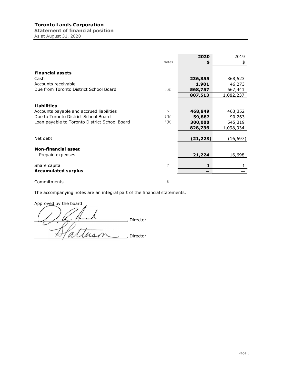# Toronto Lands Corporation Statement of financial position As at August 31, 2020

|                                               |                | 2020            | 2019      |
|-----------------------------------------------|----------------|-----------------|-----------|
|                                               | Notes          |                 | \$        |
|                                               |                |                 |           |
| <b>Financial assets</b>                       |                |                 |           |
| Cash                                          |                | 236,855         | 368,523   |
| Accounts receivable                           |                | 1,901           | 46,273    |
| Due from Toronto District School Board        | 3(g)           | 568,757         | 667,441   |
|                                               |                | 807,513         | 1,082,237 |
| <b>Liabilities</b>                            |                |                 |           |
|                                               | 6              |                 |           |
| Accounts payable and accrued liabilities      |                | 468,849         | 463,352   |
| Due to Toronto District School Board          | 3(h)           | 59,887          | 90,263    |
| Loan payable to Toronto District School Board | 3(h)           | 300,000         | 545,319   |
|                                               |                | 828,736         | 1,098,934 |
| Net debt                                      |                | (21, 223)       | (16, 697) |
| <b>Non-financial asset</b>                    |                |                 |           |
| Prepaid expenses                              |                | 21,224          | 16,698    |
| Share capital                                 | $\overline{7}$ |                 |           |
| <b>Accumulated surplus</b>                    |                | $\qquad \qquad$ |           |
| Commitments                                   | 8              |                 |           |

The accompanying notes are an integral part of the financial statements.

Approved by the board

, Director 7 J. atterson , Director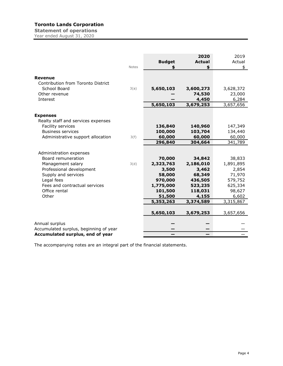# Toronto Lands Corporation

Statement of operations Year ended August 31, 2020

|                                        |       |                   | 2020               | 2019               |
|----------------------------------------|-------|-------------------|--------------------|--------------------|
|                                        |       | <b>Budget</b>     | <b>Actual</b>      | Actual             |
|                                        | Notes |                   | \$                 | \$                 |
|                                        |       |                   |                    |                    |
| <b>Revenue</b>                         |       |                   |                    |                    |
| Contribution from Toronto District     |       |                   |                    |                    |
| School Board                           | 3(a)  | 5,650,103         | 3,600,273          | 3,628,372          |
| Other revenue                          |       |                   | 74,530             | 23,000             |
| Interest                               |       | 5,650,103         | 4,450<br>3,679,253 | 6,284<br>3,657,656 |
|                                        |       |                   |                    |                    |
| <b>Expenses</b>                        |       |                   |                    |                    |
| Realty staff and services expenses     |       |                   |                    |                    |
| Facility services                      |       | 136,840           | 140,960            | 147,349            |
| <b>Business services</b>               |       | 100,000           | 103,704            | 134,440            |
| Administrative support allocation      | 3(f)  | 60,000            | 60,000             | 60,000             |
|                                        |       | 296,840           | 304,664            | 341,789            |
|                                        |       |                   |                    |                    |
| Administration expenses                |       |                   |                    |                    |
| Board remuneration                     |       | 70,000            | 34,842             | 38,833             |
| Management salary                      | 3(d)  | 2,323,763         | 2,186,010          | 1,891,895          |
| Professional development               |       | 3,500             | 3,462              | 2,854              |
| Supply and services                    |       | 58,000            | 68,349             | 71,970             |
| Legal fees                             |       | 970,000           | 436,505            | 579,752            |
| Fees and contractual services          |       | 1,775,000         | 523,235            | 625,334            |
| Office rental<br>Other                 |       | 101,500<br>51,500 | 118,031<br>4,155   | 98,627<br>6,602    |
|                                        |       | 5,353,263         | 3,374,589          | 3,315,867          |
|                                        |       |                   |                    |                    |
|                                        |       | 5,650,103         | 3,679,253          | 3,657,656          |
|                                        |       |                   |                    |                    |
| Annual surplus                         |       |                   |                    |                    |
| Accumulated surplus, beginning of year |       |                   |                    |                    |
| Accumulated surplus, end of year       |       |                   |                    |                    |

The accompanying notes are an integral part of the financial statements.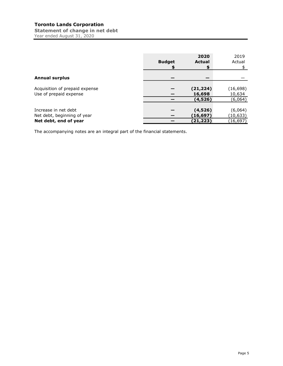|                                                          | <b>Budget</b> | 2020<br><b>Actual</b><br>S | 2019<br>Actual       |
|----------------------------------------------------------|---------------|----------------------------|----------------------|
| <b>Annual surplus</b>                                    |               |                            |                      |
| Acquisition of prepaid expense<br>Use of prepaid expense |               | (21, 224)<br>16,698        | (16, 698)<br>10,634  |
|                                                          |               | (4,526)                    | (6,064)              |
| Increase in net debt<br>Net debt, beginning of year      |               | (4,526)<br>(16,697)        | (6,064)<br>(10, 633) |
| Net debt, end of year                                    |               | (21, 223)                  | (16,697)             |

The accompanying notes are an integral part of the financial statements.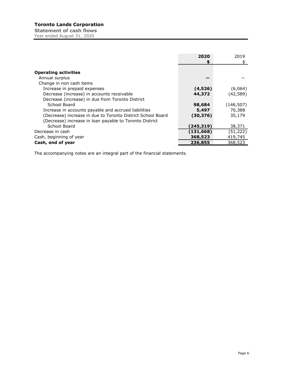Statement of cash flows Year ended August 31, 2020

|                                                             | 2020       | 2019       |
|-------------------------------------------------------------|------------|------------|
|                                                             |            |            |
|                                                             |            |            |
| <b>Operating activities</b>                                 |            |            |
| Annual surplus                                              |            |            |
| Change in non cash items                                    |            |            |
| Increase in prepaid expenses                                | (4,526)    | (6,064)    |
| Decrease (increase) in accounts receivable                  | 44,372     | (42, 589)  |
| Decrease (increase) in due from Toronto District            |            |            |
| School Board                                                | 98,684     | (146, 507) |
| Increase in accounts payable and accrued liabilities        | 5,497      | 70,388     |
| (Decrease) increase in due to Toronto District School Board | (30, 376)  | 35,179     |
| (Decrease) increase in loan payable to Toronto District     |            |            |
| School Board                                                | (245,319)  | 38,371     |
| Decrease in cash                                            | (131, 668) | (51,222)   |
| Cash, beginning of year                                     | 368,523    | 419,745    |
| Cash, end of year                                           | 236,855    | 368,523    |

The accompanying notes are an integral part of the financial statements.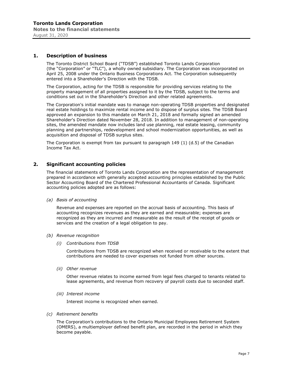### 1. Description of business

The Toronto District School Board ("TDSB") established Toronto Lands Corporation (the "Corporation" or "TLC"), a wholly owned subsidiary. The Corporation was incorporated on April 25, 2008 under the Ontario Business Corporations Act. The Corporation subsequently entered into a Shareholder's Direction with the TDSB.

The Corporation, acting for the TDSB is responsible for providing services relating to the property management of all properties assigned to it by the TDSB, subject to the terms and conditions set out in the Shareholder's Direction and other related agreements.

The Corporation's initial mandate was to manage non-operating TDSB properties and designated real estate holdings to maximize rental income and to dispose of surplus sites. The TDSB Board approved an expansion to this mandate on March 21, 2018 and formally signed an amended Shareholder's Direction dated November 28, 2018. In addition to management of non-operating sites, the amended mandate now includes land use planning, real estate leasing, community planning and partnerships, redevelopment and school modernization opportunities, as well as acquisition and disposal of TDSB surplus sites.

The Corporation is exempt from tax pursuant to paragraph  $149$  (1) (d.5) of the Canadian Income Tax Act.

## 2. Significant accounting policies

The financial statements of Toronto Lands Corporation are the representation of management prepared in accordance with generally accepted accounting principles established by the Public Sector Accounting Board of the Chartered Professional Accountants of Canada. Significant accounting policies adopted are as follows:

#### (a) Basis of accounting

Revenue and expenses are reported on the accrual basis of accounting. This basis of accounting recognizes revenues as they are earned and measurable; expenses are recognized as they are incurred and measurable as the result of the receipt of goods or services and the creation of a legal obligation to pay.

#### (b) Revenue recognition

(i) Contributions from TDSB

Contributions from TDSB are recognized when received or receivable to the extent that contributions are needed to cover expenses not funded from other sources.

(ii) Other revenue

Other revenue relates to income earned from legal fees charged to tenants related to lease agreements, and revenue from recovery of payroll costs due to seconded staff.

(iii) Interest income

Interest income is recognized when earned.

#### (c) Retirement benefits

The Corporation's contributions to the Ontario Municipal Employees Retirement System (OMERS), a multiemployer defined benefit plan, are recorded in the period in which they become payable.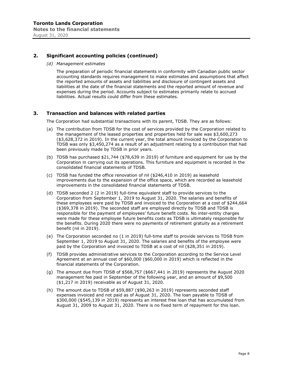# 2. Significant accounting policies (continued)

(d) Management estimates

The preparation of periodic financial statements in conformity with Canadian public sector accounting standards requires management to make estimates and assumptions that affect the reported amounts of assets and liabilities and disclosure of contingent assets and liabilities at the date of the financial statements and the reported amount of revenue and expenses during the period. Accounts subject to estimates primarily relate to accrued liabilities. Actual results could differ from these estimates.

# 3. Transaction and balances with related parties

The Corporation had substantial transactions with its parent, TDSB. They are as follows:

- (a) The contribution from TDSB for the cost of services provided by the Corporation related to the management of the leased properties and properties held for sale was \$3,600,273 (\$3,628,372 in 2019). In the current year, the total amount invoiced by the Corporation to TDSB was only \$3,450,274 as a result of an adjustment relating to a contribution that had been previously made by TDSB in prior years.
- (b) TDSB has purchased \$21,744 (\$78,639 in 2019) of furniture and equipment for use by the Corporation in carrying out its operations. This furniture and equipment is recorded in the consolidated financial statements of TDSB.
- (c) TDSB has funded the office renovation of nil (\$246,410 in 2019) as leasehold improvements due to the expansion of the office space, which are recorded as leasehold improvements in the consolidated financial statements of TDSB.
- (d) TDSB seconded 2 (2 in 2019) full-time equivalent staff to provide services to the Corporation from September 1, 2019 to August 31, 2020. The salaries and benefits of these employees were paid by TDSB and invoiced to the Corporation at a cost of \$244,664 (\$369,378 in 2019). The seconded staff are employed directly by TDSB and TDSB is responsible for the payment of employees' future benefit costs. No inter-entity charges were made for these employee future benefits costs as TDSB is ultimately responsible for the benefits. During 2020 there were no payments of retirement gratuity as a retirement benefit (nil in 2019).
- (e) The Corporation seconded no (1 in 2019) full-time staff to provide services to TDSB from September 1, 2019 to August 31, 2020. The salaries and benefits of the employee were paid by the Corporation and invoiced to TDSB at a cost of nil (\$28,351 in 2019).
- (f) TDSB provides administrative services to the Corporation according to the Service Level Agreement at an annual cost of \$60,000 (\$60,000 in 2019) which is reflected in the financial statements of the Corporation.
- (g) The amount due from TDSB of \$568,757 (\$667,441 in 2019) represents the August 2020 management fee paid in September of the following year, and an amount of \$9,500 (\$1,217 in 2019) receivable as of August 31, 2020.
- (h) The amount due to TDSB of \$59,887 (\$90,263 in 2019) represents seconded staff expenses invoiced and not paid as of August 31, 2020. The loan payable to TDSB of \$300,000 (\$545,139 in 2019) represents an interest free loan that has accumulated from August 31, 2009 to August 31, 2020. There is no fixed term of repayment for this loan.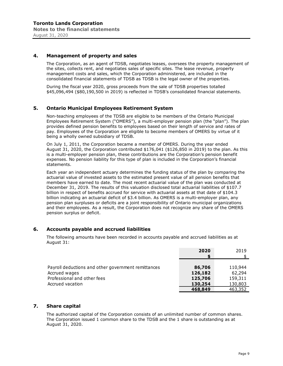# 4. Management of property and sales

The Corporation, as an agent of TDSB, negotiates leases, oversees the property management of the sites, collects rent, and negotiates sales of specific sites. The lease revenue, property management costs and sales, which the Corporation administered, are included in the consolidated financial statements of TDSB as TDSB is the legal owner of the properties.

During the fiscal year 2020, gross proceeds from the sale of TDSB properties totalled \$45,096,494 (\$80,190,500 in 2019) is reflected in TDSB's consolidated financial statements.

# 5. Ontario Municipal Employees Retirement System

Non-teaching employees of the TDSB are eligible to be members of the Ontario Municipal Employees Retirement System ("OMERS"), a multi-employer pension plan (the "plan"). The plan provides defined pension benefits to employees based on their length of service and rates of pay. Employees of the Corporation are eligible to become members of OMERS by virtue of it being a wholly owned subsidiary of TDSB.

On July 1, 2011, the Corporation became a member of OMERS. During the year ended August 31, 2020, the Corporation contributed \$176,041 (\$126,850 in 2019) to the plan. As this is a multi-employer pension plan, these contributions are the Corporation's pension benefit expenses. No pension liability for this type of plan is included in the Corporation's financial statements.

Each year an independent actuary determines the funding status of the plan by comparing the actuarial value of invested assets to the estimated present value of all pension benefits that members have earned to date. The most recent actuarial value of the plan was conducted at December 31, 2019. The results of this valuation disclosed total actuarial liabilities of \$107.7 billion in respect of benefits accrued for service with actuarial assets at that date of \$104.3 billion indicating an actuarial deficit of \$3.4 billion. As OMERS is a multi-employer plan, any pension plan surpluses or deficits are a joint responsibility of Ontario municipal organizations and their employees. As a result, the Corporation does not recognize any share of the OMERS pension surplus or deficit.

# 6. Accounts payable and accrued liabilities

The following amounts have been recorded in accounts payable and accrued liabilities as at August 31:

|                                                     | 2020    | 2019    |  |
|-----------------------------------------------------|---------|---------|--|
|                                                     |         |         |  |
|                                                     |         | 110,944 |  |
| Payroll deductions and other government remittances | 86,706  |         |  |
| Accrued wages                                       | 126,182 | 62,294  |  |
| Professional and other fees                         | 125,706 | 159,311 |  |
| Accrued vacation                                    | 130,254 | 130,803 |  |
|                                                     | 468,849 | 463,352 |  |

# 7. Share capital

The authorized capital of the Corporation consists of an unlimited number of common shares. The Corporation issued 1 common share to the TDSB and the 1 share is outstanding as at August 31, 2020.